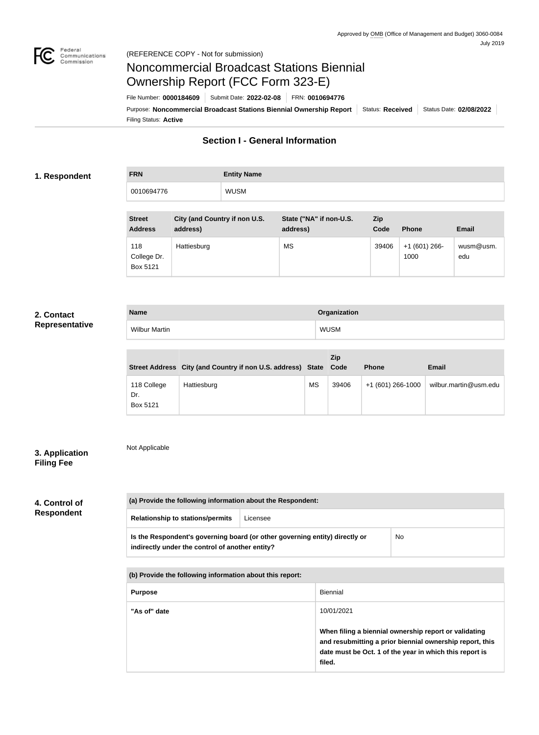

# Noncommercial Broadcast Stations Biennial Ownership Report (FCC Form 323-E)

Filing Status: **Active** Purpose: Noncommercial Broadcast Stations Biennial Ownership Report | Status: Received | Status Date: 02/08/2022 File Number: **0000184609** Submit Date: **2022-02-08** FRN: **0010694776**

# **Section I - General Information**

### **1. Respondent**

**FRN Entity Name** 0010694776 WUSM

| <b>Street</b><br><b>Address</b> | City (and Country if non U.S.<br>address) | State ("NA" if non-U.S.<br>address) | Zip<br>Code | <b>Phone</b>         | <b>Email</b>     |
|---------------------------------|-------------------------------------------|-------------------------------------|-------------|----------------------|------------------|
| 118<br>College Dr.<br>Box 5121  | Hattiesburg                               | <b>MS</b>                           | 39406       | $+1(601)266$<br>1000 | wusm@usm.<br>edu |

### **2. Contact Representative**

| <b>Name</b>      | Organization |
|------------------|--------------|
| Wilbu<br>1artir. | WUSM         |

|                                |                                                                  |           | Zip   |                   |                       |
|--------------------------------|------------------------------------------------------------------|-----------|-------|-------------------|-----------------------|
|                                | Street Address City (and Country if non U.S. address) State Code |           |       | <b>Phone</b>      | <b>Email</b>          |
| 118 College<br>Dr.<br>Box 5121 | Hattiesburg                                                      | <b>MS</b> | 39406 | +1 (601) 266-1000 | wilbur.martin@usm.edu |

### **3. Application Filing Fee**

Not Applicable

# **4. Control of Respondent**

**(a) Provide the following information about the Respondent: Relationship to stations/permits** Licensee **Is the Respondent's governing board (or other governing entity) directly or indirectly under the control of another entity?** No

**(b) Provide the following information about this report:**

| <b>Purpose</b> | Biennial                                                                                                                                                                               |  |
|----------------|----------------------------------------------------------------------------------------------------------------------------------------------------------------------------------------|--|
| "As of" date   | 10/01/2021                                                                                                                                                                             |  |
|                | When filing a biennial ownership report or validating<br>and resubmitting a prior biennial ownership report, this<br>date must be Oct. 1 of the year in which this report is<br>filed. |  |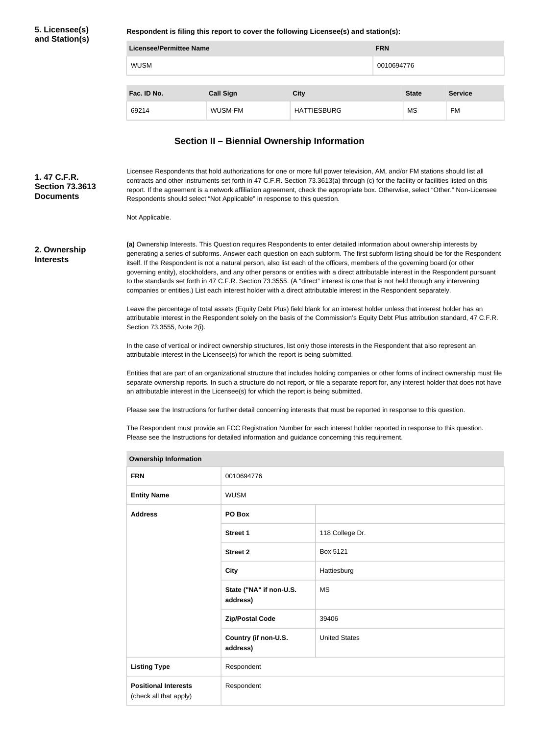### **5. Licensee(s) and Station(s)**

**Respondent is filing this report to cover the following Licensee(s) and station(s):**

| Licensee/Permittee Name |                  |                    |            | <b>FRN</b>   |                |  |
|-------------------------|------------------|--------------------|------------|--------------|----------------|--|
| <b>WUSM</b>             |                  |                    | 0010694776 |              |                |  |
|                         |                  |                    |            |              |                |  |
| Fac. ID No.             | <b>Call Sign</b> | <b>City</b>        |            | <b>State</b> | <b>Service</b> |  |
| 69214                   | WUSM-FM          | <b>HATTIESBURG</b> |            | <b>MS</b>    | FM             |  |

## **Section II – Biennial Ownership Information**

Licensee Respondents that hold authorizations for one or more full power television, AM, and/or FM stations should list all contracts and other instruments set forth in 47 C.F.R. Section 73.3613(a) through (c) for the facility or facilities listed on this report. If the agreement is a network affiliation agreement, check the appropriate box. Otherwise, select "Other." Non-Licensee Respondents should select "Not Applicable" in response to this question. **Section 73.3613** 

Not Applicable.

#### **2. Ownership Interests**

**1. 47 C.F.R.** 

**Documents**

**(a)** Ownership Interests. This Question requires Respondents to enter detailed information about ownership interests by generating a series of subforms. Answer each question on each subform. The first subform listing should be for the Respondent itself. If the Respondent is not a natural person, also list each of the officers, members of the governing board (or other governing entity), stockholders, and any other persons or entities with a direct attributable interest in the Respondent pursuant to the standards set forth in 47 C.F.R. Section 73.3555. (A "direct" interest is one that is not held through any intervening companies or entities.) List each interest holder with a direct attributable interest in the Respondent separately.

Leave the percentage of total assets (Equity Debt Plus) field blank for an interest holder unless that interest holder has an attributable interest in the Respondent solely on the basis of the Commission's Equity Debt Plus attribution standard, 47 C.F.R. Section 73.3555, Note 2(i).

In the case of vertical or indirect ownership structures, list only those interests in the Respondent that also represent an attributable interest in the Licensee(s) for which the report is being submitted.

Entities that are part of an organizational structure that includes holding companies or other forms of indirect ownership must file separate ownership reports. In such a structure do not report, or file a separate report for, any interest holder that does not have an attributable interest in the Licensee(s) for which the report is being submitted.

Please see the Instructions for further detail concerning interests that must be reported in response to this question.

The Respondent must provide an FCC Registration Number for each interest holder reported in response to this question. Please see the Instructions for detailed information and guidance concerning this requirement.

| <b>Ownership Information</b>                          |                                     |                      |  |
|-------------------------------------------------------|-------------------------------------|----------------------|--|
| <b>FRN</b>                                            | 0010694776                          |                      |  |
| <b>Entity Name</b>                                    | <b>WUSM</b>                         |                      |  |
| <b>Address</b>                                        | PO Box                              |                      |  |
|                                                       | <b>Street 1</b>                     | 118 College Dr.      |  |
|                                                       | <b>Street 2</b>                     | Box 5121             |  |
|                                                       | <b>City</b>                         | Hattiesburg          |  |
|                                                       | State ("NA" if non-U.S.<br>address) | <b>MS</b>            |  |
|                                                       | <b>Zip/Postal Code</b>              | 39406                |  |
|                                                       | Country (if non-U.S.<br>address)    | <b>United States</b> |  |
| <b>Listing Type</b>                                   | Respondent                          |                      |  |
| <b>Positional Interests</b><br>(check all that apply) | Respondent                          |                      |  |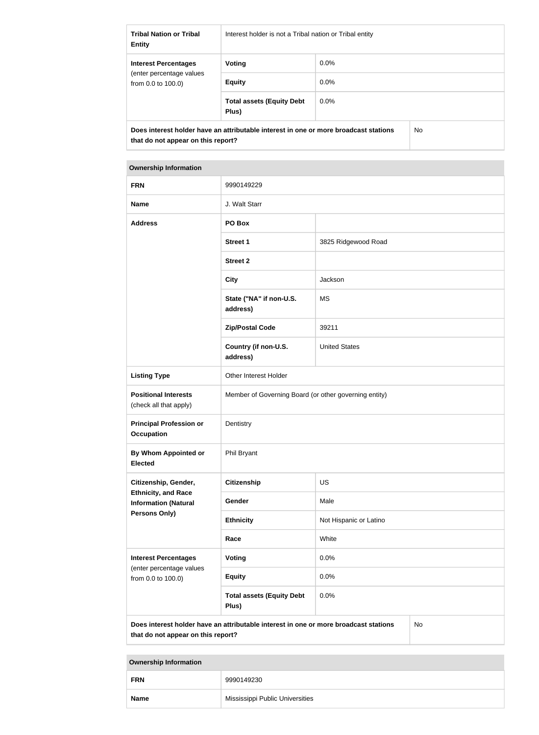| <b>Tribal Nation or Tribal</b><br><b>Entity</b>                                                                                   | Interest holder is not a Tribal nation or Tribal entity |         |  |  |
|-----------------------------------------------------------------------------------------------------------------------------------|---------------------------------------------------------|---------|--|--|
| <b>Interest Percentages</b>                                                                                                       | Voting                                                  | $0.0\%$ |  |  |
| (enter percentage values)<br>from $0.0$ to $100.0$ )                                                                              | <b>Equity</b>                                           | $0.0\%$ |  |  |
|                                                                                                                                   | <b>Total assets (Equity Debt</b><br>Plus)               | $0.0\%$ |  |  |
| Does interest holder have an attributable interest in one or more broadcast stations<br>No.<br>that do not appear on this report? |                                                         |         |  |  |

| <b>Ownership Information</b>                                                                                                            |                                                       |                        |  |  |  |
|-----------------------------------------------------------------------------------------------------------------------------------------|-------------------------------------------------------|------------------------|--|--|--|
| <b>FRN</b>                                                                                                                              | 9990149229                                            |                        |  |  |  |
| <b>Name</b>                                                                                                                             | J. Walt Starr                                         |                        |  |  |  |
| <b>Address</b>                                                                                                                          | PO Box                                                |                        |  |  |  |
|                                                                                                                                         | <b>Street 1</b>                                       | 3825 Ridgewood Road    |  |  |  |
|                                                                                                                                         | <b>Street 2</b>                                       |                        |  |  |  |
|                                                                                                                                         | <b>City</b>                                           | Jackson                |  |  |  |
|                                                                                                                                         | State ("NA" if non-U.S.<br>address)                   | <b>MS</b>              |  |  |  |
|                                                                                                                                         | <b>Zip/Postal Code</b>                                | 39211                  |  |  |  |
|                                                                                                                                         | Country (if non-U.S.<br>address)                      | <b>United States</b>   |  |  |  |
| <b>Listing Type</b>                                                                                                                     | Other Interest Holder                                 |                        |  |  |  |
| <b>Positional Interests</b><br>(check all that apply)                                                                                   | Member of Governing Board (or other governing entity) |                        |  |  |  |
| <b>Principal Profession or</b><br><b>Occupation</b>                                                                                     | Dentistry                                             |                        |  |  |  |
| By Whom Appointed or<br><b>Elected</b>                                                                                                  | Phil Bryant                                           |                        |  |  |  |
| Citizenship, Gender,                                                                                                                    | <b>Citizenship</b>                                    | <b>US</b>              |  |  |  |
| <b>Ethnicity, and Race</b><br><b>Information (Natural</b>                                                                               | Gender                                                | Male                   |  |  |  |
| Persons Only)                                                                                                                           | <b>Ethnicity</b>                                      | Not Hispanic or Latino |  |  |  |
|                                                                                                                                         | Race                                                  | White                  |  |  |  |
| <b>Interest Percentages</b>                                                                                                             | Voting                                                | 0.0%                   |  |  |  |
| (enter percentage values<br>from 0.0 to 100.0)                                                                                          | <b>Equity</b>                                         | 0.0%                   |  |  |  |
|                                                                                                                                         | <b>Total assets (Equity Debt</b><br>Plus)             | 0.0%                   |  |  |  |
| Does interest holder have an attributable interest in one or more broadcast stations<br><b>No</b><br>that do not appear on this report? |                                                       |                        |  |  |  |

| <b>Ownership Information</b> |                                 |  |  |
|------------------------------|---------------------------------|--|--|
| <b>FRN</b>                   | 9990149230                      |  |  |
| <b>Name</b>                  | Mississippi Public Universities |  |  |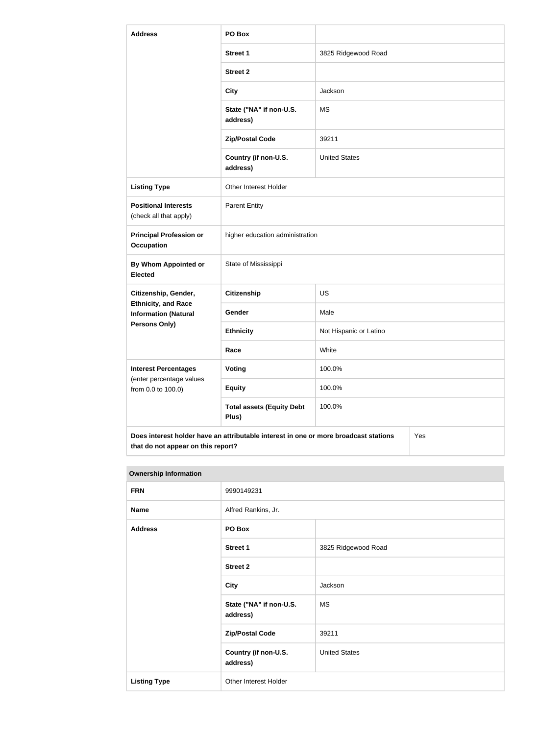| <b>Address</b>                                                                              | PO Box                                    |                        |  |  |
|---------------------------------------------------------------------------------------------|-------------------------------------------|------------------------|--|--|
|                                                                                             | <b>Street 1</b>                           | 3825 Ridgewood Road    |  |  |
|                                                                                             | <b>Street 2</b>                           |                        |  |  |
|                                                                                             | <b>City</b>                               | Jackson                |  |  |
|                                                                                             | State ("NA" if non-U.S.<br>address)       | <b>MS</b>              |  |  |
|                                                                                             | <b>Zip/Postal Code</b>                    | 39211                  |  |  |
|                                                                                             | Country (if non-U.S.<br>address)          | <b>United States</b>   |  |  |
| <b>Listing Type</b>                                                                         | Other Interest Holder                     |                        |  |  |
| <b>Positional Interests</b><br>(check all that apply)                                       | <b>Parent Entity</b>                      |                        |  |  |
| <b>Principal Profession or</b><br><b>Occupation</b>                                         | higher education administration           |                        |  |  |
| <b>By Whom Appointed or</b><br><b>Elected</b>                                               | State of Mississippi                      |                        |  |  |
| Citizenship, Gender,                                                                        | <b>Citizenship</b>                        | <b>US</b>              |  |  |
| <b>Ethnicity, and Race</b><br><b>Information (Natural</b>                                   | Gender                                    | Male                   |  |  |
| <b>Persons Only)</b>                                                                        | <b>Ethnicity</b>                          | Not Hispanic or Latino |  |  |
|                                                                                             | Race                                      | White                  |  |  |
| <b>Interest Percentages</b><br>(enter percentage values                                     | Voting                                    | 100.0%                 |  |  |
| from 0.0 to 100.0)                                                                          | <b>Equity</b>                             | 100.0%                 |  |  |
|                                                                                             | <b>Total assets (Equity Debt</b><br>Plus) | 100.0%                 |  |  |
| Does interest holder have an attributable interest in one or more broadcast stations<br>Yes |                                           |                        |  |  |

| <b>Ownership Information</b> |                                     |                      |  |  |
|------------------------------|-------------------------------------|----------------------|--|--|
| <b>FRN</b>                   | 9990149231                          |                      |  |  |
| <b>Name</b>                  | Alfred Rankins, Jr.                 |                      |  |  |
| <b>Address</b>               | PO Box                              |                      |  |  |
|                              | Street 1                            | 3825 Ridgewood Road  |  |  |
|                              | <b>Street 2</b>                     |                      |  |  |
|                              | <b>City</b>                         | Jackson              |  |  |
|                              | State ("NA" if non-U.S.<br>address) | <b>MS</b>            |  |  |
|                              | <b>Zip/Postal Code</b>              | 39211                |  |  |
|                              | Country (if non-U.S.<br>address)    | <b>United States</b> |  |  |
| <b>Listing Type</b>          | Other Interest Holder               |                      |  |  |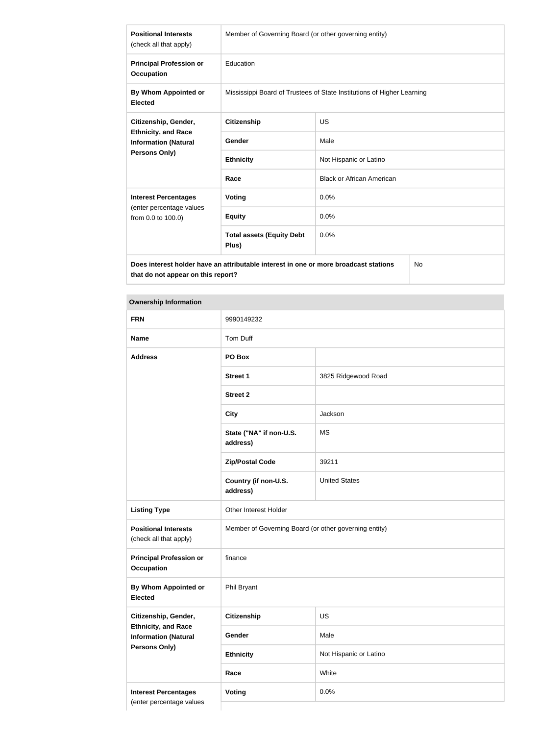| <b>Positional Interests</b><br>(check all that apply)                                       | Member of Governing Board (or other governing entity)                  |                                  |  |  |
|---------------------------------------------------------------------------------------------|------------------------------------------------------------------------|----------------------------------|--|--|
| <b>Principal Profession or</b><br><b>Occupation</b>                                         | Education                                                              |                                  |  |  |
| By Whom Appointed or<br><b>Elected</b>                                                      | Mississippi Board of Trustees of State Institutions of Higher Learning |                                  |  |  |
| Citizenship, Gender,                                                                        | <b>Citizenship</b>                                                     | <b>US</b>                        |  |  |
| <b>Ethnicity, and Race</b><br><b>Information (Natural</b>                                   | Gender                                                                 | Male                             |  |  |
| <b>Persons Only)</b>                                                                        | <b>Ethnicity</b>                                                       | Not Hispanic or Latino           |  |  |
|                                                                                             | Race                                                                   | <b>Black or African American</b> |  |  |
| <b>Interest Percentages</b>                                                                 | Voting                                                                 | 0.0%                             |  |  |
| (enter percentage values<br>from 0.0 to 100.0)                                              | <b>Equity</b>                                                          | 0.0%                             |  |  |
|                                                                                             | <b>Total assets (Equity Debt</b><br>Plus)                              | 0.0%                             |  |  |
| Does interest holder have an attributable interest in one or more broadcast stations<br>No. |                                                                        |                                  |  |  |

**Does interest holder have an attributable interest in one or more broadcast stations that do not appear on this report?**

## **Ownership Information**

| <b>FRN</b>                                                                        | 9990149232                                            |                        |
|-----------------------------------------------------------------------------------|-------------------------------------------------------|------------------------|
| <b>Name</b>                                                                       | Tom Duff                                              |                        |
| <b>Address</b>                                                                    | PO Box                                                |                        |
|                                                                                   | Street 1                                              | 3825 Ridgewood Road    |
|                                                                                   | <b>Street 2</b>                                       |                        |
|                                                                                   | <b>City</b>                                           | Jackson                |
|                                                                                   | State ("NA" if non-U.S.<br>address)                   | <b>MS</b>              |
|                                                                                   | <b>Zip/Postal Code</b>                                | 39211                  |
|                                                                                   | Country (if non-U.S.<br>address)                      | <b>United States</b>   |
| <b>Listing Type</b>                                                               | Other Interest Holder                                 |                        |
| <b>Positional Interests</b><br>(check all that apply)                             | Member of Governing Board (or other governing entity) |                        |
| <b>Principal Profession or</b><br>Occupation                                      | finance                                               |                        |
| By Whom Appointed or<br><b>Elected</b>                                            | Phil Bryant                                           |                        |
| Citizenship, Gender,                                                              | <b>Citizenship</b>                                    | US                     |
| <b>Ethnicity, and Race</b><br><b>Information (Natural</b><br><b>Persons Only)</b> | Gender                                                | Male                   |
|                                                                                   | <b>Ethnicity</b>                                      | Not Hispanic or Latino |
|                                                                                   | Race                                                  | White                  |
| <b>Interest Percentages</b>                                                       | <b>Voting</b>                                         | 0.0%                   |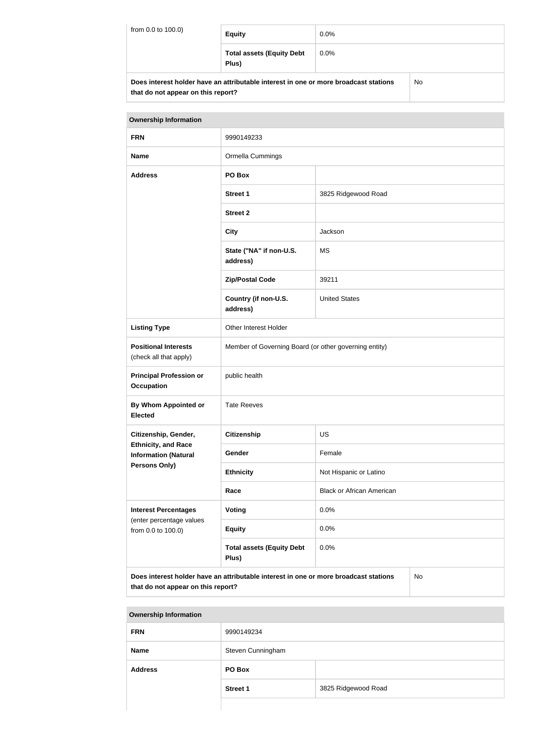| from 0.0 to 100.0) | <b>Equity</b>                                                                        | $0.0\%$ |    |
|--------------------|--------------------------------------------------------------------------------------|---------|----|
|                    | <b>Total assets (Equity Debt</b><br>Plus)                                            | $0.0\%$ |    |
|                    | Does interest holder have an attributable interest in one or more broadcast stations |         | No |

**that do not appear on this report?**

**that do not appear on this report?**

# **Ownership Information FRN** 9990149233 **Name Ormella Cummings Address PO Box** Street 1 3825 Ridgewood Road **Street 2 City** Jackson **State ("NA" if non-U.S. address)** MS **Zip/Postal Code** 39211 **Country (if non-U.S. address)** United States Listing Type **CE** Other Interest Holder **Positional Interests** (check all that apply) Member of Governing Board (or other governing entity) **Principal Profession or Occupation** public health **By Whom Appointed or Elected** Tate Reeves **Citizenship, Gender, Ethnicity, and Race Information (Natural Persons Only) Citizenship** US Gender **Female Ethnicity** Not Hispanic or Latino **Race Black or African American Interest Percentages** (enter percentage values from 0.0 to 100.0) **Voting** 0.0% **Equity** 0.0% **Total assets (Equity Debt Plus)** 0.0% **Does interest holder have an attributable interest in one or more broadcast stations**  No

| <b>Ownership Information</b> |                   |                     |  |
|------------------------------|-------------------|---------------------|--|
| <b>FRN</b>                   | 9990149234        |                     |  |
| <b>Name</b>                  | Steven Cunningham |                     |  |
| <b>Address</b>               | PO Box            |                     |  |
|                              | <b>Street 1</b>   | 3825 Ridgewood Road |  |
|                              |                   |                     |  |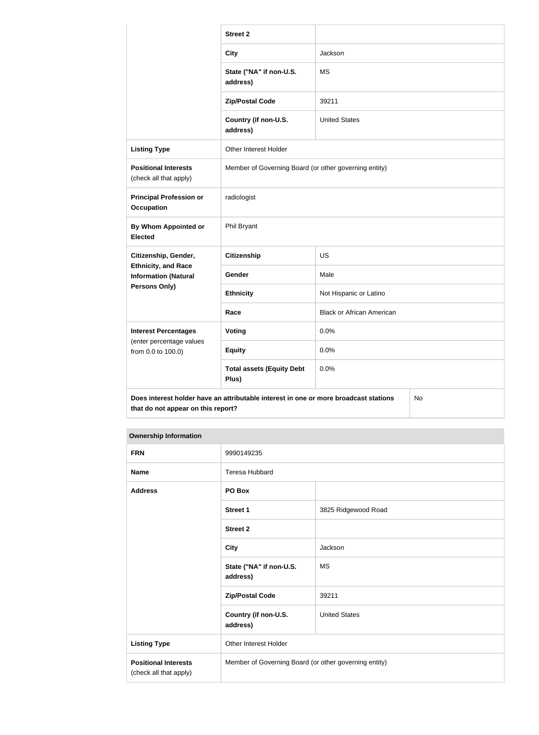|                                                           | <b>Street 2</b>                                                                      |                                  |    |
|-----------------------------------------------------------|--------------------------------------------------------------------------------------|----------------------------------|----|
|                                                           | <b>City</b>                                                                          | Jackson                          |    |
|                                                           | State ("NA" if non-U.S.<br>address)                                                  | <b>MS</b>                        |    |
|                                                           | <b>Zip/Postal Code</b>                                                               | 39211                            |    |
|                                                           | Country (if non-U.S.<br>address)                                                     | <b>United States</b>             |    |
| <b>Listing Type</b>                                       | Other Interest Holder                                                                |                                  |    |
| <b>Positional Interests</b><br>(check all that apply)     | Member of Governing Board (or other governing entity)                                |                                  |    |
| <b>Principal Profession or</b><br><b>Occupation</b>       | radiologist                                                                          |                                  |    |
| By Whom Appointed or<br><b>Elected</b>                    | Phil Bryant                                                                          |                                  |    |
| Citizenship, Gender,                                      | <b>Citizenship</b>                                                                   | <b>US</b>                        |    |
| <b>Ethnicity, and Race</b><br><b>Information (Natural</b> | Gender                                                                               | Male                             |    |
| <b>Persons Only)</b>                                      | <b>Ethnicity</b>                                                                     | Not Hispanic or Latino           |    |
|                                                           | Race                                                                                 | <b>Black or African American</b> |    |
| <b>Interest Percentages</b>                               | Voting                                                                               | 0.0%                             |    |
| (enter percentage values<br>from 0.0 to 100.0)            | <b>Equity</b>                                                                        | 0.0%                             |    |
|                                                           | <b>Total assets (Equity Debt</b><br>Plus)                                            | 0.0%                             |    |
| that do not appear on this report?                        | Does interest holder have an attributable interest in one or more broadcast stations |                                  | No |

#### **Ownership Information**

| <b>FRN</b>                                            | 9990149235                                            |                      |
|-------------------------------------------------------|-------------------------------------------------------|----------------------|
| <b>Name</b>                                           | <b>Teresa Hubbard</b>                                 |                      |
| <b>Address</b>                                        | PO Box                                                |                      |
|                                                       | <b>Street 1</b>                                       | 3825 Ridgewood Road  |
|                                                       | <b>Street 2</b>                                       |                      |
|                                                       | <b>City</b>                                           | Jackson              |
|                                                       | State ("NA" if non-U.S.<br>address)                   | <b>MS</b>            |
|                                                       | <b>Zip/Postal Code</b>                                | 39211                |
|                                                       | Country (if non-U.S.<br>address)                      | <b>United States</b> |
| <b>Listing Type</b>                                   | <b>Other Interest Holder</b>                          |                      |
| <b>Positional Interests</b><br>(check all that apply) | Member of Governing Board (or other governing entity) |                      |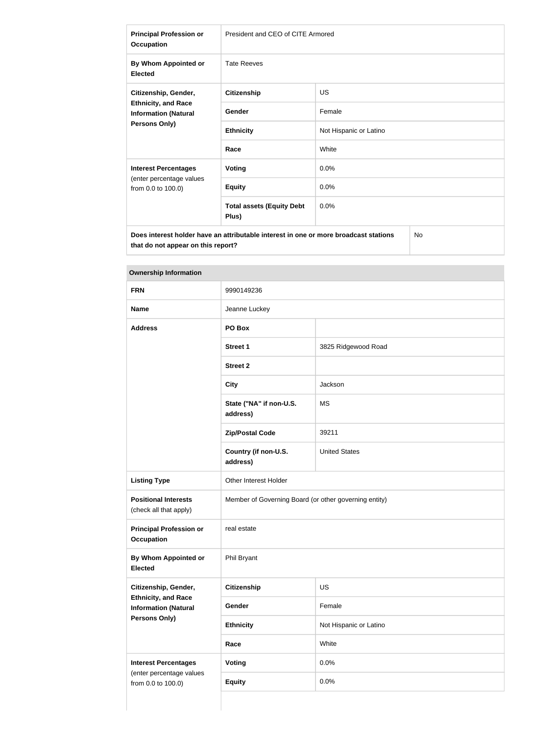| <b>Principal Profession or</b><br><b>Occupation</b>                                                | President and CEO of CITE Armored         |                        |
|----------------------------------------------------------------------------------------------------|-------------------------------------------|------------------------|
| By Whom Appointed or<br><b>Elected</b>                                                             | <b>Tate Reeves</b>                        |                        |
| Citizenship, Gender,<br><b>Ethnicity, and Race</b><br><b>Information (Natural</b><br>Persons Only) | <b>Citizenship</b>                        | <b>US</b>              |
|                                                                                                    | Gender                                    | Female                 |
|                                                                                                    | <b>Ethnicity</b>                          | Not Hispanic or Latino |
|                                                                                                    | Race                                      | White                  |
| <b>Interest Percentages</b><br>(enter percentage values<br>from 0.0 to 100.0)                      | <b>Voting</b>                             | 0.0%                   |
|                                                                                                    | <b>Equity</b>                             | 0.0%                   |
|                                                                                                    | <b>Total assets (Equity Debt</b><br>Plus) | 0.0%                   |
| No<br>Does interest holder have an attributable interest in one or more broadcast stations         |                                           |                        |

**Ownership Information**

| <b>FRN</b>                                                | 9990149236                                            |                        |
|-----------------------------------------------------------|-------------------------------------------------------|------------------------|
| <b>Name</b>                                               | Jeanne Luckey                                         |                        |
| <b>Address</b>                                            | PO Box                                                |                        |
|                                                           | <b>Street 1</b>                                       | 3825 Ridgewood Road    |
|                                                           | <b>Street 2</b>                                       |                        |
|                                                           | <b>City</b>                                           | Jackson                |
|                                                           | State ("NA" if non-U.S.<br>address)                   | <b>MS</b>              |
|                                                           | <b>Zip/Postal Code</b>                                | 39211                  |
|                                                           | Country (if non-U.S.<br>address)                      | <b>United States</b>   |
| <b>Listing Type</b>                                       | Other Interest Holder                                 |                        |
| <b>Positional Interests</b><br>(check all that apply)     | Member of Governing Board (or other governing entity) |                        |
| <b>Principal Profession or</b><br><b>Occupation</b>       | real estate                                           |                        |
| <b>By Whom Appointed or</b><br><b>Elected</b>             | Phil Bryant                                           |                        |
| Citizenship, Gender,                                      | <b>Citizenship</b>                                    | US                     |
| <b>Ethnicity, and Race</b><br><b>Information (Natural</b> | Gender                                                | Female                 |
| Persons Only)                                             | <b>Ethnicity</b>                                      | Not Hispanic or Latino |
|                                                           | Race                                                  | White                  |
| <b>Interest Percentages</b>                               | <b>Voting</b>                                         | 0.0%                   |
| (enter percentage values<br>from 0.0 to 100.0)            | <b>Equity</b>                                         | 0.0%                   |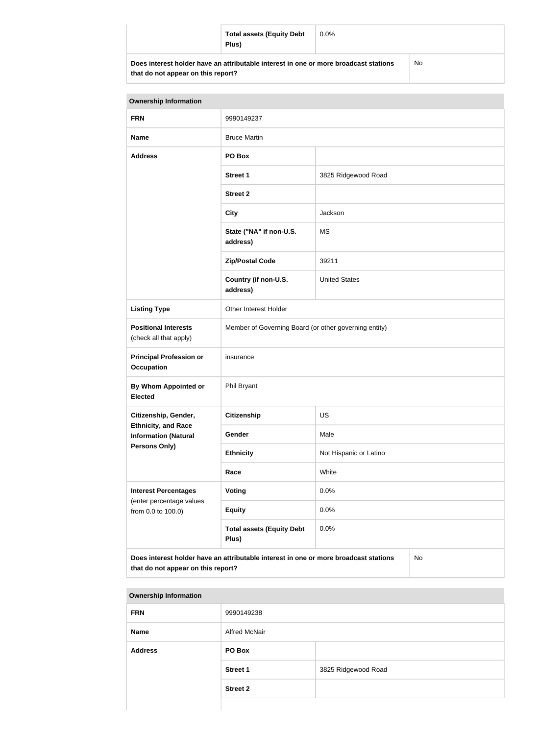|                                                                                      | <b>Total assets (Equity Debt</b><br>Plus) | $0.0\%$ |  |
|--------------------------------------------------------------------------------------|-------------------------------------------|---------|--|
| Does interest holder have an attributable interest in one or more broadcast stations |                                           | No      |  |

| <b>Ownership Information</b>                              |                                                                                      |                        |    |
|-----------------------------------------------------------|--------------------------------------------------------------------------------------|------------------------|----|
| <b>FRN</b>                                                | 9990149237                                                                           |                        |    |
| <b>Name</b>                                               | <b>Bruce Martin</b>                                                                  |                        |    |
| <b>Address</b>                                            | PO Box                                                                               |                        |    |
|                                                           | <b>Street 1</b>                                                                      | 3825 Ridgewood Road    |    |
|                                                           | <b>Street 2</b>                                                                      |                        |    |
|                                                           | <b>City</b>                                                                          | Jackson                |    |
|                                                           | State ("NA" if non-U.S.<br>address)                                                  | <b>MS</b>              |    |
|                                                           | <b>Zip/Postal Code</b>                                                               | 39211                  |    |
|                                                           | Country (if non-U.S.<br>address)                                                     | <b>United States</b>   |    |
| <b>Listing Type</b>                                       | Other Interest Holder                                                                |                        |    |
| <b>Positional Interests</b><br>(check all that apply)     | Member of Governing Board (or other governing entity)                                |                        |    |
| <b>Principal Profession or</b><br>Occupation              | insurance                                                                            |                        |    |
| By Whom Appointed or<br><b>Elected</b>                    | Phil Bryant                                                                          |                        |    |
| Citizenship, Gender,                                      | <b>Citizenship</b>                                                                   | <b>US</b>              |    |
| <b>Ethnicity, and Race</b><br><b>Information (Natural</b> | Gender                                                                               | Male                   |    |
| <b>Persons Only)</b>                                      | <b>Ethnicity</b>                                                                     | Not Hispanic or Latino |    |
|                                                           | Race                                                                                 | White                  |    |
| <b>Interest Percentages</b>                               | Voting                                                                               | 0.0%                   |    |
| (enter percentage values<br>from 0.0 to 100.0)            | <b>Equity</b>                                                                        | 0.0%                   |    |
|                                                           | <b>Total assets (Equity Debt</b><br>Plus)                                            | 0.0%                   |    |
| that do not appear on this report?                        | Does interest holder have an attributable interest in one or more broadcast stations |                        | No |

| <b>Ownership Information</b> |                      |                     |
|------------------------------|----------------------|---------------------|
| <b>FRN</b>                   | 9990149238           |                     |
| <b>Name</b>                  | <b>Alfred McNair</b> |                     |
| <b>Address</b>               | PO Box               |                     |
|                              | <b>Street 1</b>      | 3825 Ridgewood Road |
|                              | <b>Street 2</b>      |                     |
|                              |                      |                     |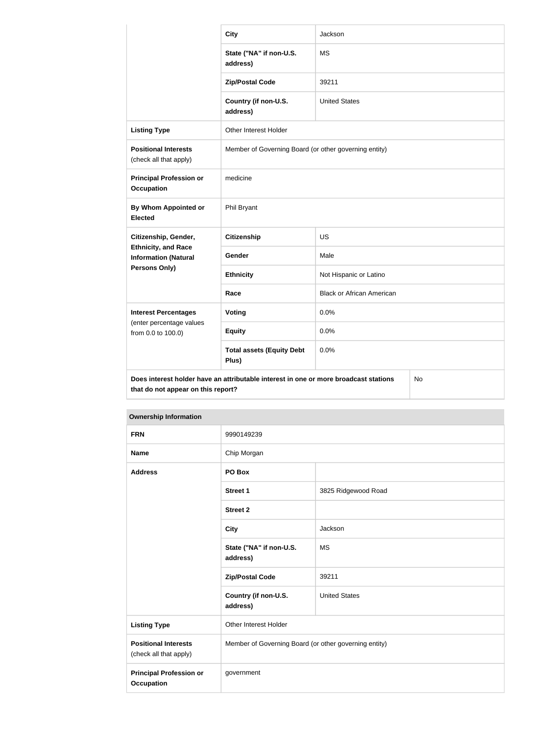|                                                                                   | <b>City</b>                                                                          | Jackson                          |  |
|-----------------------------------------------------------------------------------|--------------------------------------------------------------------------------------|----------------------------------|--|
|                                                                                   | State ("NA" if non-U.S.<br>address)                                                  | <b>MS</b>                        |  |
|                                                                                   | <b>Zip/Postal Code</b>                                                               | 39211                            |  |
|                                                                                   | Country (if non-U.S.<br>address)                                                     | <b>United States</b>             |  |
| <b>Listing Type</b>                                                               | Other Interest Holder                                                                |                                  |  |
| <b>Positional Interests</b><br>(check all that apply)                             | Member of Governing Board (or other governing entity)                                |                                  |  |
| <b>Principal Profession or</b><br><b>Occupation</b>                               | medicine                                                                             |                                  |  |
| <b>By Whom Appointed or</b><br><b>Elected</b>                                     | Phil Bryant                                                                          |                                  |  |
| Citizenship, Gender,<br><b>Ethnicity, and Race</b><br><b>Information (Natural</b> | <b>Citizenship</b>                                                                   | <b>US</b>                        |  |
|                                                                                   | Gender                                                                               | Male                             |  |
| Persons Only)                                                                     | <b>Ethnicity</b>                                                                     | Not Hispanic or Latino           |  |
|                                                                                   | Race                                                                                 | <b>Black or African American</b> |  |
| <b>Interest Percentages</b>                                                       | <b>Voting</b>                                                                        | 0.0%                             |  |
| (enter percentage values<br>from 0.0 to 100.0)                                    | <b>Equity</b>                                                                        | 0.0%                             |  |
|                                                                                   | <b>Total assets (Equity Debt</b><br>Plus)                                            | 0.0%                             |  |
| that do not appear on this report?                                                | Does interest holder have an attributable interest in one or more broadcast stations | No                               |  |

| <b>Ownership Information</b>                          |                                                       |                      |
|-------------------------------------------------------|-------------------------------------------------------|----------------------|
| <b>FRN</b>                                            | 9990149239                                            |                      |
| <b>Name</b>                                           | Chip Morgan                                           |                      |
| <b>Address</b>                                        | PO Box                                                |                      |
|                                                       | <b>Street 1</b>                                       | 3825 Ridgewood Road  |
|                                                       | <b>Street 2</b>                                       |                      |
|                                                       | <b>City</b>                                           | Jackson              |
|                                                       | State ("NA" if non-U.S.<br>address)                   | <b>MS</b>            |
|                                                       | <b>Zip/Postal Code</b>                                | 39211                |
|                                                       | Country (if non-U.S.<br>address)                      | <b>United States</b> |
| <b>Listing Type</b>                                   | Other Interest Holder                                 |                      |
| <b>Positional Interests</b><br>(check all that apply) | Member of Governing Board (or other governing entity) |                      |
| <b>Principal Profession or</b><br><b>Occupation</b>   | government                                            |                      |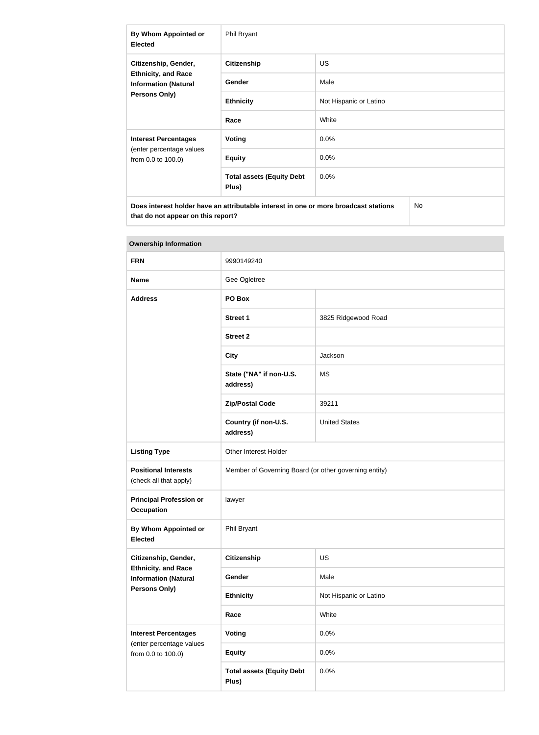| By Whom Appointed or<br><b>Elected</b>                                                             | Phil Bryant                               |                        |  |
|----------------------------------------------------------------------------------------------------|-------------------------------------------|------------------------|--|
| Citizenship, Gender,<br><b>Ethnicity, and Race</b><br><b>Information (Natural</b><br>Persons Only) | <b>Citizenship</b>                        | <b>US</b>              |  |
|                                                                                                    | Gender                                    | Male                   |  |
|                                                                                                    | <b>Ethnicity</b>                          | Not Hispanic or Latino |  |
|                                                                                                    | Race                                      | White                  |  |
| <b>Interest Percentages</b><br>(enter percentage values<br>from 0.0 to 100.0)                      | Voting                                    | $0.0\%$                |  |
|                                                                                                    | <b>Equity</b>                             | 0.0%                   |  |
|                                                                                                    | <b>Total assets (Equity Debt</b><br>Plus) | $0.0\%$                |  |
| Does interest holder have an attributable interest in one or more broadcast stations<br><b>No</b>  |                                           |                        |  |

| <b>Ownership Information</b>                                                                       |                                                       |                        |
|----------------------------------------------------------------------------------------------------|-------------------------------------------------------|------------------------|
| <b>FRN</b>                                                                                         | 9990149240                                            |                        |
| <b>Name</b>                                                                                        | Gee Ogletree                                          |                        |
| <b>Address</b>                                                                                     | PO Box                                                |                        |
|                                                                                                    | Street 1                                              | 3825 Ridgewood Road    |
|                                                                                                    | <b>Street 2</b>                                       |                        |
|                                                                                                    | <b>City</b>                                           | Jackson                |
|                                                                                                    | State ("NA" if non-U.S.<br>address)                   | <b>MS</b>              |
|                                                                                                    | <b>Zip/Postal Code</b>                                | 39211                  |
|                                                                                                    | Country (if non-U.S.<br>address)                      | <b>United States</b>   |
| <b>Listing Type</b>                                                                                | Other Interest Holder                                 |                        |
| <b>Positional Interests</b><br>(check all that apply)                                              | Member of Governing Board (or other governing entity) |                        |
| <b>Principal Profession or</b><br><b>Occupation</b>                                                | lawyer                                                |                        |
| By Whom Appointed or<br><b>Elected</b>                                                             | Phil Bryant                                           |                        |
| Citizenship, Gender,<br><b>Ethnicity, and Race</b><br><b>Information (Natural</b><br>Persons Only) | <b>Citizenship</b>                                    | <b>US</b>              |
|                                                                                                    | Gender                                                | Male                   |
|                                                                                                    | <b>Ethnicity</b>                                      | Not Hispanic or Latino |
|                                                                                                    | Race                                                  | White                  |
| <b>Interest Percentages</b><br>(enter percentage values<br>from 0.0 to 100.0)                      | Voting                                                | 0.0%                   |
|                                                                                                    | <b>Equity</b>                                         | 0.0%                   |
|                                                                                                    | <b>Total assets (Equity Debt</b><br>Plus)             | 0.0%                   |

# **The State**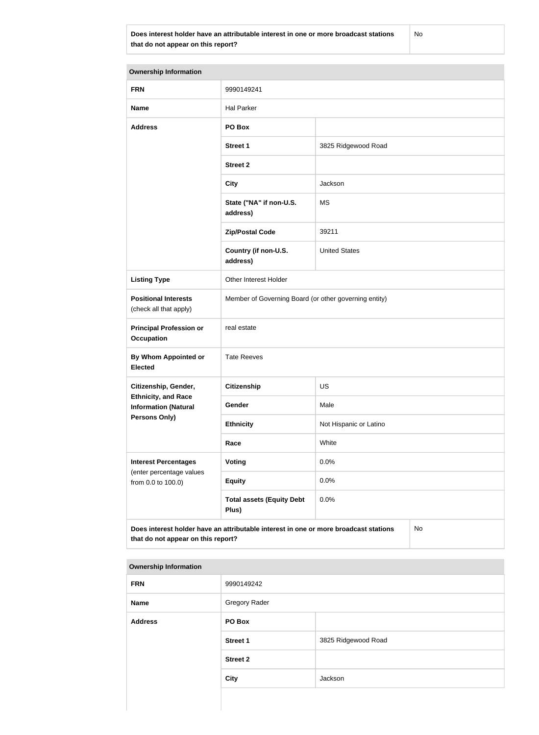**Does interest holder have an attributable interest in one or more broadcast stations that do not appear on this report?**

No

| <b>Ownership Information</b>                                                      |                                                                                      |                        |  |
|-----------------------------------------------------------------------------------|--------------------------------------------------------------------------------------|------------------------|--|
| <b>FRN</b>                                                                        | 9990149241                                                                           |                        |  |
| <b>Name</b>                                                                       | <b>Hal Parker</b>                                                                    |                        |  |
| <b>Address</b>                                                                    | PO Box                                                                               |                        |  |
|                                                                                   | <b>Street 1</b>                                                                      | 3825 Ridgewood Road    |  |
|                                                                                   | <b>Street 2</b>                                                                      |                        |  |
|                                                                                   | <b>City</b>                                                                          | Jackson                |  |
|                                                                                   | State ("NA" if non-U.S.<br>address)                                                  | <b>MS</b>              |  |
|                                                                                   | <b>Zip/Postal Code</b>                                                               | 39211                  |  |
|                                                                                   | Country (if non-U.S.<br>address)                                                     | <b>United States</b>   |  |
| <b>Listing Type</b>                                                               | Other Interest Holder                                                                |                        |  |
| <b>Positional Interests</b><br>(check all that apply)                             | Member of Governing Board (or other governing entity)                                |                        |  |
| <b>Principal Profession or</b><br><b>Occupation</b>                               | real estate                                                                          |                        |  |
| By Whom Appointed or<br><b>Elected</b>                                            | <b>Tate Reeves</b>                                                                   |                        |  |
| Citizenship, Gender,                                                              | <b>Citizenship</b>                                                                   | <b>US</b>              |  |
| <b>Ethnicity, and Race</b><br><b>Information (Natural</b><br><b>Persons Only)</b> | Gender                                                                               | Male                   |  |
|                                                                                   | <b>Ethnicity</b>                                                                     | Not Hispanic or Latino |  |
|                                                                                   | Race                                                                                 | White                  |  |
| <b>Interest Percentages</b><br>(enter percentage values<br>from 0.0 to 100.0)     | Voting                                                                               | 0.0%                   |  |
|                                                                                   | <b>Equity</b>                                                                        | 0.0%                   |  |
|                                                                                   | <b>Total assets (Equity Debt</b><br>Plus)                                            | 0.0%                   |  |
| that do not appear on this report?                                                | Does interest holder have an attributable interest in one or more broadcast stations | No                     |  |

#### **Ownership Information**

| <b>FRN</b>     | 9990149242           |                     |
|----------------|----------------------|---------------------|
| <b>Name</b>    | <b>Gregory Rader</b> |                     |
| <b>Address</b> | PO Box               |                     |
|                | <b>Street 1</b>      | 3825 Ridgewood Road |
|                | <b>Street 2</b>      |                     |
|                | <b>City</b>          | Jackson             |
|                |                      |                     |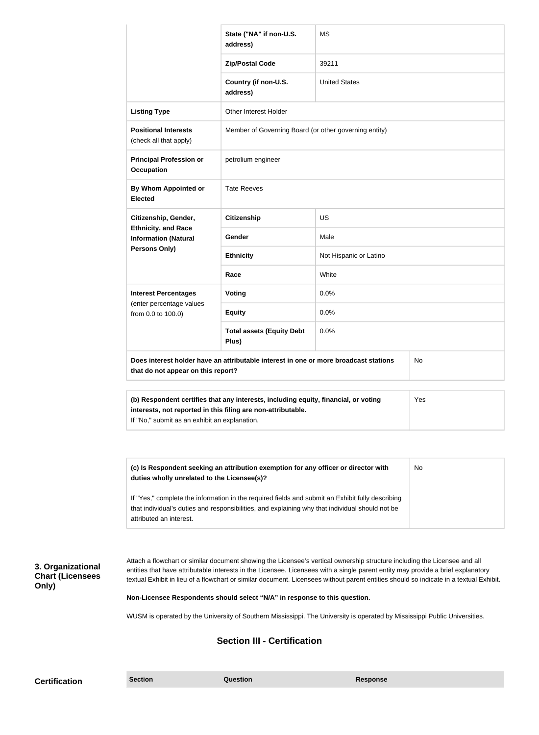|                                                           | State ("NA" if non-U.S.<br>address)                                                              | <b>MS</b>                                                                                       |           |
|-----------------------------------------------------------|--------------------------------------------------------------------------------------------------|-------------------------------------------------------------------------------------------------|-----------|
|                                                           | <b>Zip/Postal Code</b>                                                                           | 39211                                                                                           |           |
|                                                           | Country (if non-U.S.<br>address)                                                                 | <b>United States</b>                                                                            |           |
| <b>Listing Type</b>                                       | Other Interest Holder                                                                            |                                                                                                 |           |
| <b>Positional Interests</b><br>(check all that apply)     | Member of Governing Board (or other governing entity)                                            |                                                                                                 |           |
| <b>Principal Profession or</b><br><b>Occupation</b>       | petrolium engineer                                                                               |                                                                                                 |           |
| By Whom Appointed or<br><b>Elected</b>                    | <b>Tate Reeves</b>                                                                               |                                                                                                 |           |
| Citizenship, Gender,                                      | <b>Citizenship</b>                                                                               | <b>US</b>                                                                                       |           |
| <b>Ethnicity, and Race</b><br><b>Information (Natural</b> | Gender                                                                                           | Male                                                                                            |           |
| Persons Only)                                             | <b>Ethnicity</b>                                                                                 | Not Hispanic or Latino                                                                          |           |
|                                                           | Race                                                                                             | White                                                                                           |           |
| <b>Interest Percentages</b>                               | Voting                                                                                           | 0.0%                                                                                            |           |
| (enter percentage values<br>from 0.0 to 100.0)            | <b>Equity</b>                                                                                    | 0.0%                                                                                            |           |
|                                                           | <b>Total assets (Equity Debt</b><br>Plus)                                                        | 0.0%                                                                                            |           |
| that do not appear on this report?                        | Does interest holder have an attributable interest in one or more broadcast stations             |                                                                                                 | No        |
|                                                           | (b) Respondent certifies that any interests, including equity, financial, or voting              |                                                                                                 | Yes       |
| If "No," submit as an exhibit an explanation.             | interests, not reported in this filing are non-attributable.                                     |                                                                                                 |           |
|                                                           |                                                                                                  |                                                                                                 |           |
| duties wholly unrelated to the Licensee(s)?               | (c) Is Respondent seeking an attribution exemption for any officer or director with              |                                                                                                 | <b>No</b> |
|                                                           | If "Yes," complete the information in the required fields and submit an Exhibit fully describing | that individual's duties and responsibilities, and explaining why that individual should not be |           |

textual Exhibit in lieu of a flowchart or similar document. Licensees without parent entities should so indicate in a textual Exhibit.

**Non-Licensee Respondents should select "N/A" in response to this question.**

WUSM is operated by the University of Southern Mississippi. The University is operated by Mississippi Public Universities.

# **Section III - Certification**

**3. Organizational Chart (Licensees** 

**Only)**